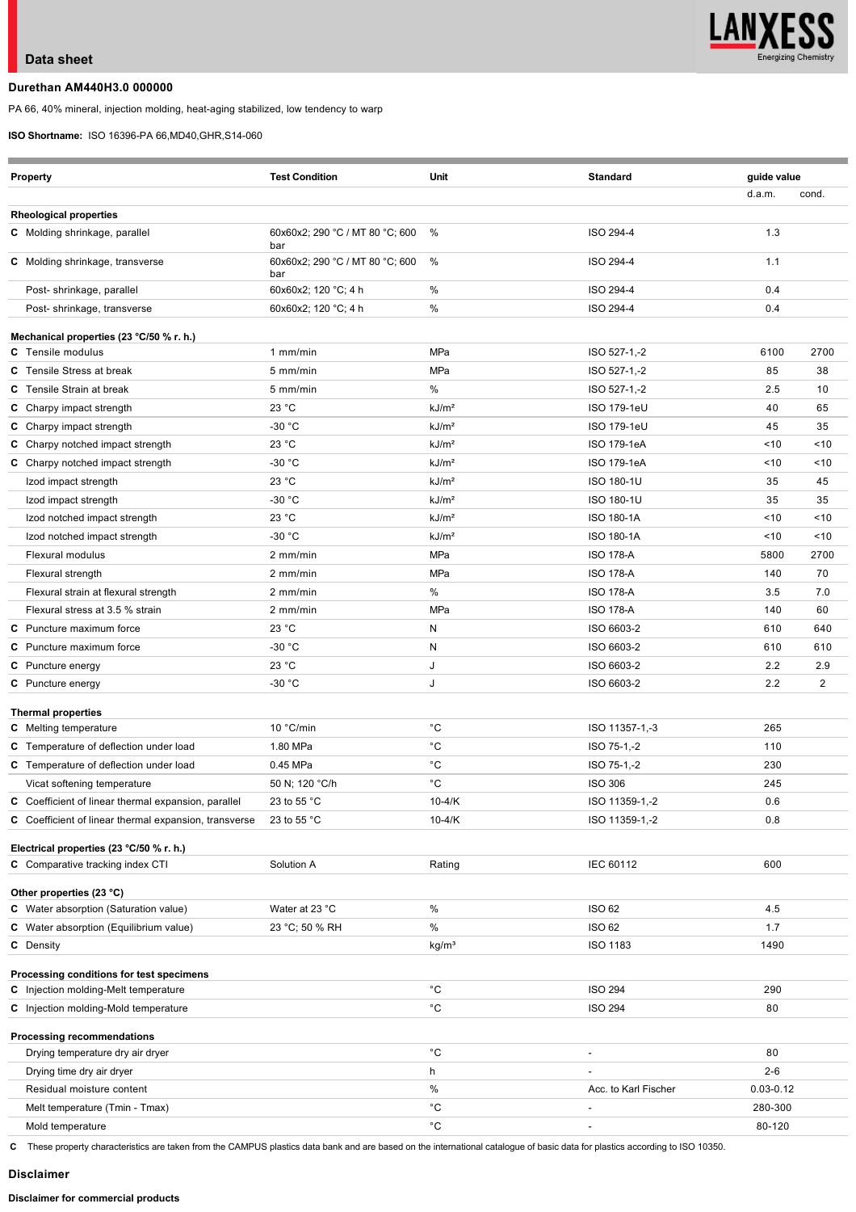## **Data sheet**



# **Durethan AM440H3.0 000000**

PA 66, 40% mineral, injection molding, heat-aging stabilized, low tendency to warp

**ISO Shortname:** ISO 16396-PA 66,MD40,GHR,S14-060

| <b>Property</b>                                                                  | <b>Test Condition</b>                  | Unit              | <b>Standard</b>      |               | guide value    |  |
|----------------------------------------------------------------------------------|----------------------------------------|-------------------|----------------------|---------------|----------------|--|
|                                                                                  |                                        |                   |                      | d.a.m.        | cond.          |  |
| <b>Rheological properties</b>                                                    |                                        |                   |                      |               |                |  |
| C Molding shrinkage, parallel                                                    | 60x60x2; 290 °C / MT 80 °C; 600<br>bar | %                 | ISO 294-4            | 1.3           |                |  |
| C Molding shrinkage, transverse                                                  | 60x60x2; 290 °C / MT 80 °C; 600<br>bar | %                 | ISO 294-4            | 1.1           |                |  |
| Post- shrinkage, parallel                                                        | 60x60x2; 120 °C; 4 h                   | %                 | ISO 294-4            | 0.4           |                |  |
| Post-shrinkage, transverse                                                       | 60x60x2; 120 °C; 4 h                   | %                 | ISO 294-4            | 0.4           |                |  |
|                                                                                  |                                        |                   |                      |               |                |  |
| Mechanical properties (23 °C/50 % r. h.)<br>C Tensile modulus                    | $1$ mm/min                             | <b>MPa</b>        | ISO 527-1,-2         | 6100          | 2700           |  |
| С<br>Tensile Stress at break                                                     | 5 mm/min                               | MPa               | ISO 527-1,-2         | 85            | 38             |  |
| C<br>Tensile Strain at break                                                     | 5 mm/min                               | %                 | ISO 527-1,-2         | 2.5           | 10             |  |
| C Charpy impact strength                                                         | 23 °C                                  | kJ/m <sup>2</sup> | <b>ISO 179-1eU</b>   | 40            | 65             |  |
| C Charpy impact strength                                                         | -30 °C                                 | kJ/m <sup>2</sup> | ISO 179-1eU          | 45            | 35             |  |
| C Charpy notched impact strength                                                 | 23 °C                                  | kJ/m <sup>2</sup> | ISO 179-1eA          | ~10           | ~10            |  |
| C Charpy notched impact strength                                                 | $-30 °C$                               | kJ/m <sup>2</sup> | ISO 179-1eA          | ~10           | ~10            |  |
| Izod impact strength                                                             | 23 °C                                  | kJ/m <sup>2</sup> | ISO 180-1U           | 35            | 45             |  |
| Izod impact strength                                                             | $-30 °C$                               | kJ/m <sup>2</sup> | <b>ISO 180-1U</b>    | 35            | 35             |  |
| Izod notched impact strength                                                     | 23 °C                                  | kJ/m <sup>2</sup> | ISO 180-1A           | ~10           | ~10            |  |
| Izod notched impact strength                                                     | $-30 °C$                               | kJ/m <sup>2</sup> | ISO 180-1A           | ~10           | ~10            |  |
| Flexural modulus                                                                 | 2 mm/min                               | MPa               | <b>ISO 178-A</b>     | 5800          | 2700           |  |
| Flexural strength                                                                | 2 mm/min                               | MPa               | <b>ISO 178-A</b>     | 140           | 70             |  |
|                                                                                  | 2 mm/min                               | %                 | <b>ISO 178-A</b>     | 3.5           | 7.0            |  |
| Flexural strain at flexural strength<br>Flexural stress at 3.5 % strain          |                                        | MPa               | <b>ISO 178-A</b>     | 140           | 60             |  |
| C Puncture maximum force                                                         | 2 mm/min<br>23 °C                      | ${\sf N}$         | ISO 6603-2           | 610           | 640            |  |
|                                                                                  | $-30 °C$                               | N                 |                      |               |                |  |
| Puncture maximum force<br>C                                                      | 23 °C                                  |                   | ISO 6603-2           | 610           | 610            |  |
| <b>C</b> Puncture energy                                                         |                                        | J                 | ISO 6603-2           | 2.2           | 2.9            |  |
| C Puncture energy                                                                | $-30 °C$                               | J                 | ISO 6603-2           | 2.2           | $\overline{2}$ |  |
| <b>Thermal properties</b>                                                        |                                        |                   |                      |               |                |  |
| <b>C</b> Melting temperature                                                     | 10 °C/min                              | $^{\circ}$ C      | ISO 11357-1,-3       | 265           |                |  |
| C Temperature of deflection under load                                           | 1.80 MPa                               | $^{\circ}$ C      | ISO 75-1,-2          | 110           |                |  |
| C Temperature of deflection under load                                           | 0.45 MPa                               | $^{\circ}$ C      | ISO 75-1,-2          | 230           |                |  |
| Vicat softening temperature                                                      | 50 N; 120 °C/h                         | $^{\circ}$ C      | <b>ISO 306</b>       | 245           |                |  |
| C Coefficient of linear thermal expansion, parallel                              | 23 to 55 °C                            | $10 - 4/K$        | ISO 11359-1,-2       | 0.6           |                |  |
| C Coefficient of linear thermal expansion, transverse                            | 23 to 55 $^{\circ}$ C                  | $10-4/K$          | ISO 11359-1,-2       | 0.8           |                |  |
| Electrical properties (23 °C/50 % r. h.)                                         |                                        |                   |                      |               |                |  |
| C Comparative tracking index CTI                                                 | Solution A                             | Rating            | IEC 60112            | 600           |                |  |
|                                                                                  |                                        |                   |                      |               |                |  |
| Other properties (23 °C)<br>C Water absorption (Saturation value)                | Water at 23 °C                         | $\%$              | <b>ISO 62</b>        | 4.5           |                |  |
| <b>C</b> Water absorption (Equilibrium value)                                    | 23 °C; 50 % RH                         | $\%$              | ISO 62               | 1.7           |                |  |
| <b>C</b> Density                                                                 |                                        | kg/m <sup>3</sup> | <b>ISO 1183</b>      | 1490          |                |  |
|                                                                                  |                                        |                   |                      |               |                |  |
| Processing conditions for test specimens<br>C Injection molding-Melt temperature |                                        | $^{\circ}{\rm C}$ | <b>ISO 294</b>       | 290           |                |  |
| C Injection molding-Mold temperature                                             |                                        | $^{\circ}{\rm C}$ | <b>ISO 294</b>       | 80            |                |  |
|                                                                                  |                                        |                   |                      |               |                |  |
| <b>Processing recommendations</b>                                                |                                        |                   |                      |               |                |  |
| Drying temperature dry air dryer                                                 |                                        | $^{\circ}$ C      | $\overline{a}$       | 80            |                |  |
| Drying time dry air dryer                                                        |                                        | h                 |                      | $2 - 6$       |                |  |
| Residual moisture content                                                        |                                        | $\%$              | Acc. to Karl Fischer | $0.03 - 0.12$ |                |  |
| Melt temperature (Tmin - Tmax)                                                   |                                        | $^{\circ}$ C      | $\overline{a}$       | 280-300       |                |  |
| Mold temperature                                                                 |                                        | $^{\circ}{\rm C}$ | $\overline{a}$       | 80-120        |                |  |

C These property characteristics are taken from the CAMPUS plastics data bank and are based on the international catalogue of basic data for plastics according to ISO 10350.

## **Disclaimer**